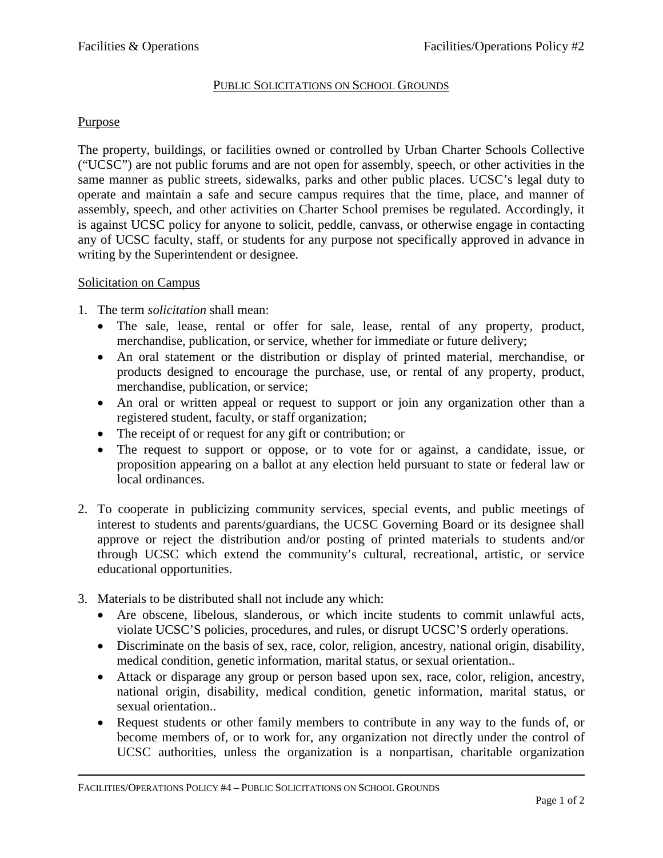## PUBLIC SOLICITATIONS ON SCHOOL GROUNDS

## Purpose

The property, buildings, or facilities owned or controlled by Urban Charter Schools Collective ("UCSC") are not public forums and are not open for assembly, speech, or other activities in the same manner as public streets, sidewalks, parks and other public places. UCSC's legal duty to operate and maintain a safe and secure campus requires that the time, place, and manner of assembly, speech, and other activities on Charter School premises be regulated. Accordingly, it is against UCSC policy for anyone to solicit, peddle, canvass, or otherwise engage in contacting any of UCSC faculty, staff, or students for any purpose not specifically approved in advance in writing by the Superintendent or designee.

## Solicitation on Campus

- 1. The term *solicitation* shall mean:
	- The sale, lease, rental or offer for sale, lease, rental of any property, product, merchandise, publication, or service, whether for immediate or future delivery;
	- An oral statement or the distribution or display of printed material, merchandise, or products designed to encourage the purchase, use, or rental of any property, product, merchandise, publication, or service;
	- An oral or written appeal or request to support or join any organization other than a registered student, faculty, or staff organization;
	- The receipt of or request for any gift or contribution; or
	- The request to support or oppose, or to vote for or against, a candidate, issue, or proposition appearing on a ballot at any election held pursuant to state or federal law or local ordinances.
- 2. To cooperate in publicizing community services, special events, and public meetings of interest to students and parents/guardians, the UCSC Governing Board or its designee shall approve or reject the distribution and/or posting of printed materials to students and/or through UCSC which extend the community's cultural, recreational, artistic, or service educational opportunities.
- 3. Materials to be distributed shall not include any which:
	- Are obscene, libelous, slanderous, or which incite students to commit unlawful acts, violate UCSC'S policies, procedures, and rules, or disrupt UCSC'S orderly operations.
	- Discriminate on the basis of sex, race, color, religion, ancestry, national origin, disability, medical condition, genetic information, marital status, or sexual orientation..
	- Attack or disparage any group or person based upon sex, race, color, religion, ancestry, national origin, disability, medical condition, genetic information, marital status, or sexual orientation..
	- Request students or other family members to contribute in any way to the funds of, or become members of, or to work for, any organization not directly under the control of UCSC authorities, unless the organization is a nonpartisan, charitable organization